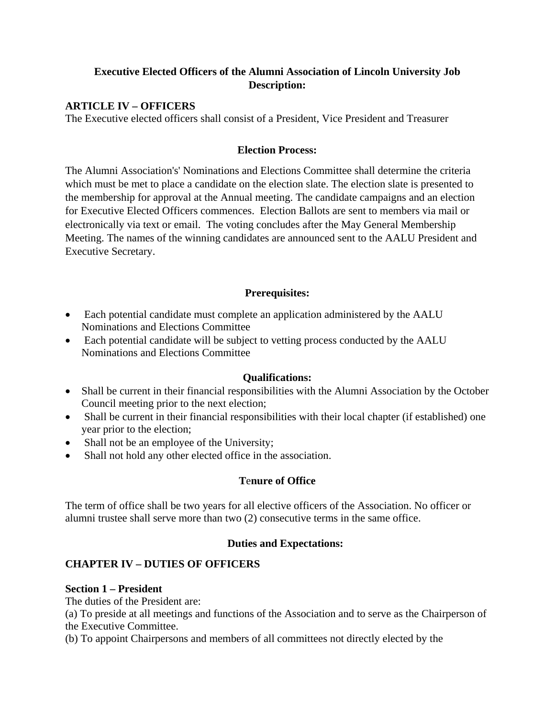# **Executive Elected Officers of the Alumni Association of Lincoln University Job Description:**

### **ARTICLE IV – OFFICERS**

The Executive elected officers shall consist of a President, Vice President and Treasurer

#### **Election Process:**

The Alumni Association's' Nominations and Elections Committee shall determine the criteria which must be met to place a candidate on the election slate. The election slate is presented to the membership for approval at the Annual meeting. The candidate campaigns and an election for Executive Elected Officers commences. Election Ballots are sent to members via mail or electronically via text or email. The voting concludes after the May General Membership Meeting. The names of the winning candidates are announced sent to the AALU President and Executive Secretary.

## **Prerequisites:**

- Each potential candidate must complete an application administered by the AALU Nominations and Elections Committee
- Each potential candidate will be subject to vetting process conducted by the AALU Nominations and Elections Committee

#### **Qualifications:**

- Shall be current in their financial responsibilities with the Alumni Association by the October Council meeting prior to the next election;
- Shall be current in their financial responsibilities with their local chapter (if established) one year prior to the election;
- Shall not be an employee of the University;
- Shall not hold any other elected office in the association.

#### **T**e**nure of Office**

The term of office shall be two years for all elective officers of the Association. No officer or alumni trustee shall serve more than two (2) consecutive terms in the same office.

#### **Duties and Expectations:**

## **CHAPTER IV – DUTIES OF OFFICERS**

#### **Section 1 – President**

The duties of the President are:

(a) To preside at all meetings and functions of the Association and to serve as the Chairperson of the Executive Committee.

(b) To appoint Chairpersons and members of all committees not directly elected by the